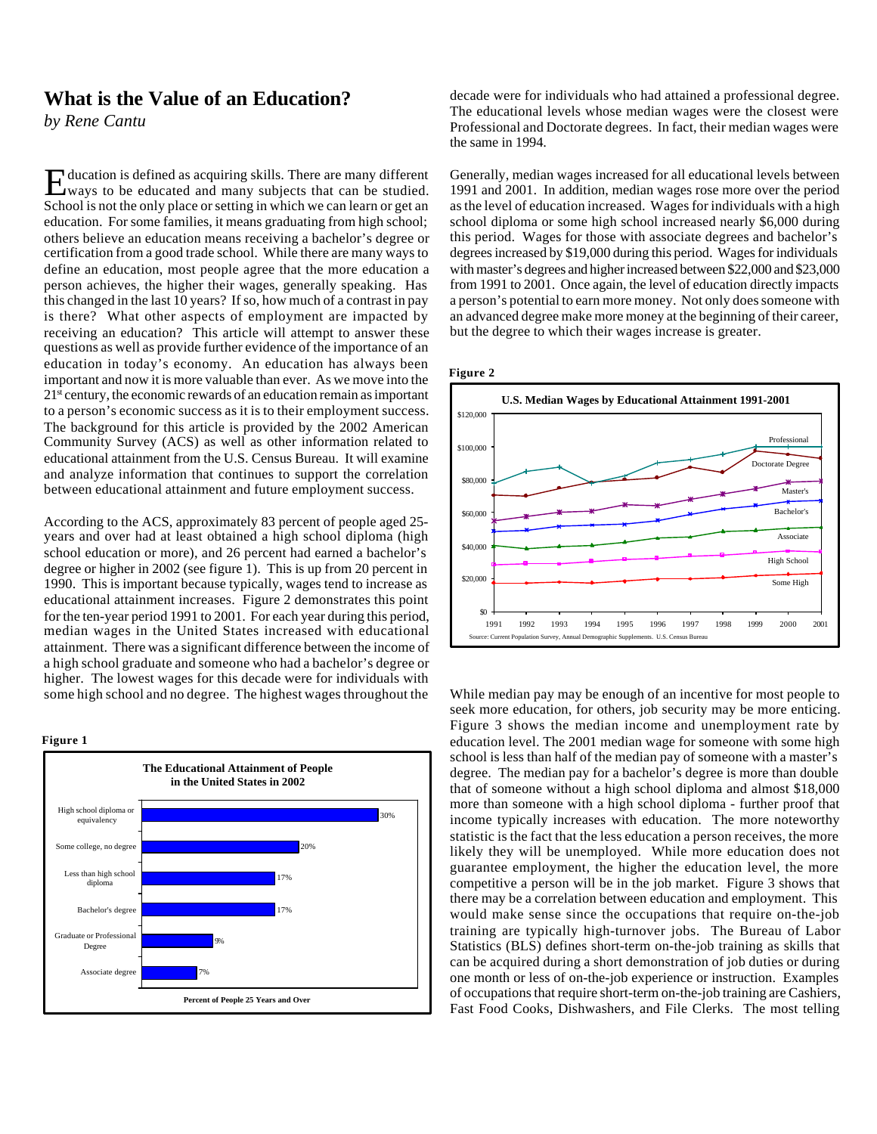## **What is the Value of an Education?**

*by Rene Cantu*

E ducation is defined as acquiring skills. There are many different ways to be educated and many subjects that can be studied. School is not the only place or setting in which we can learn or get an education. For some families, it means graduating from high school; others believe an education means receiving a bachelor's degree or certification from a good trade school. While there are many ways to define an education, most people agree that the more education a person achieves, the higher their wages, generally speaking. Has this changed in the last 10 years? If so, how much of a contrast in pay is there? What other aspects of employment are impacted by receiving an education? This article will attempt to answer these questions as well as provide further evidence of the importance of an education in today's economy. An education has always been important and now it is more valuable than ever. As we move into the 21<sup>st</sup> century, the economic rewards of an education remain as important to a person's economic success as it is to their employment success. The background for this article is provided by the 2002 American Community Survey (ACS) as well as other information related to educational attainment from the U.S. Census Bureau. It will examine and analyze information that continues to support the correlation between educational attainment and future employment success.

According to the ACS, approximately 83 percent of people aged 25 years and over had at least obtained a high school diploma (high school education or more), and 26 percent had earned a bachelor's degree or higher in 2002 (see figure 1). This is up from 20 percent in 1990. This is important because typically, wages tend to increase as educational attainment increases. Figure 2 demonstrates this point for the ten-year period 1991 to 2001. For each year during this period, median wages in the United States increased with educational attainment. There was a significant difference between the income of a high school graduate and someone who had a bachelor's degree or higher. The lowest wages for this decade were for individuals with some high school and no degree. The highest wages throughout the





decade were for individuals who had attained a professional degree. The educational levels whose median wages were the closest were Professional and Doctorate degrees. In fact, their median wages were the same in 1994.

Generally, median wages increased for all educational levels between 1991 and 2001. In addition, median wages rose more over the period as the level of education increased. Wages for individuals with a high school diploma or some high school increased nearly \$6,000 during this period. Wages for those with associate degrees and bachelor's degrees increased by \$19,000 during this period. Wages for individuals with master's degrees and higher increased between \$22,000 and \$23,000 from 1991 to 2001. Once again, the level of education directly impacts a person's potential to earn more money. Not only does someone with an advanced degree make more money at the beginning of their career, but the degree to which their wages increase is greater.

## **Figure 2**



While median pay may be enough of an incentive for most people to seek more education, for others, job security may be more enticing. Figure 3 shows the median income and unemployment rate by education level. The 2001 median wage for someone with some high school is less than half of the median pay of someone with a master's degree. The median pay for a bachelor's degree is more than double that of someone without a high school diploma and almost \$18,000 more than someone with a high school diploma - further proof that income typically increases with education. The more noteworthy statistic is the fact that the less education a person receives, the more likely they will be unemployed. While more education does not guarantee employment, the higher the education level, the more competitive a person will be in the job market. Figure 3 shows that there may be a correlation between education and employment. This would make sense since the occupations that require on-the-job training are typically high-turnover jobs. The Bureau of Labor Statistics (BLS) defines short-term on-the-job training as skills that can be acquired during a short demonstration of job duties or during one month or less of on-the-job experience or instruction. Examples of occupations that require short-term on-the-job training are Cashiers, Fast Food Cooks, Dishwashers, and File Clerks. The most telling